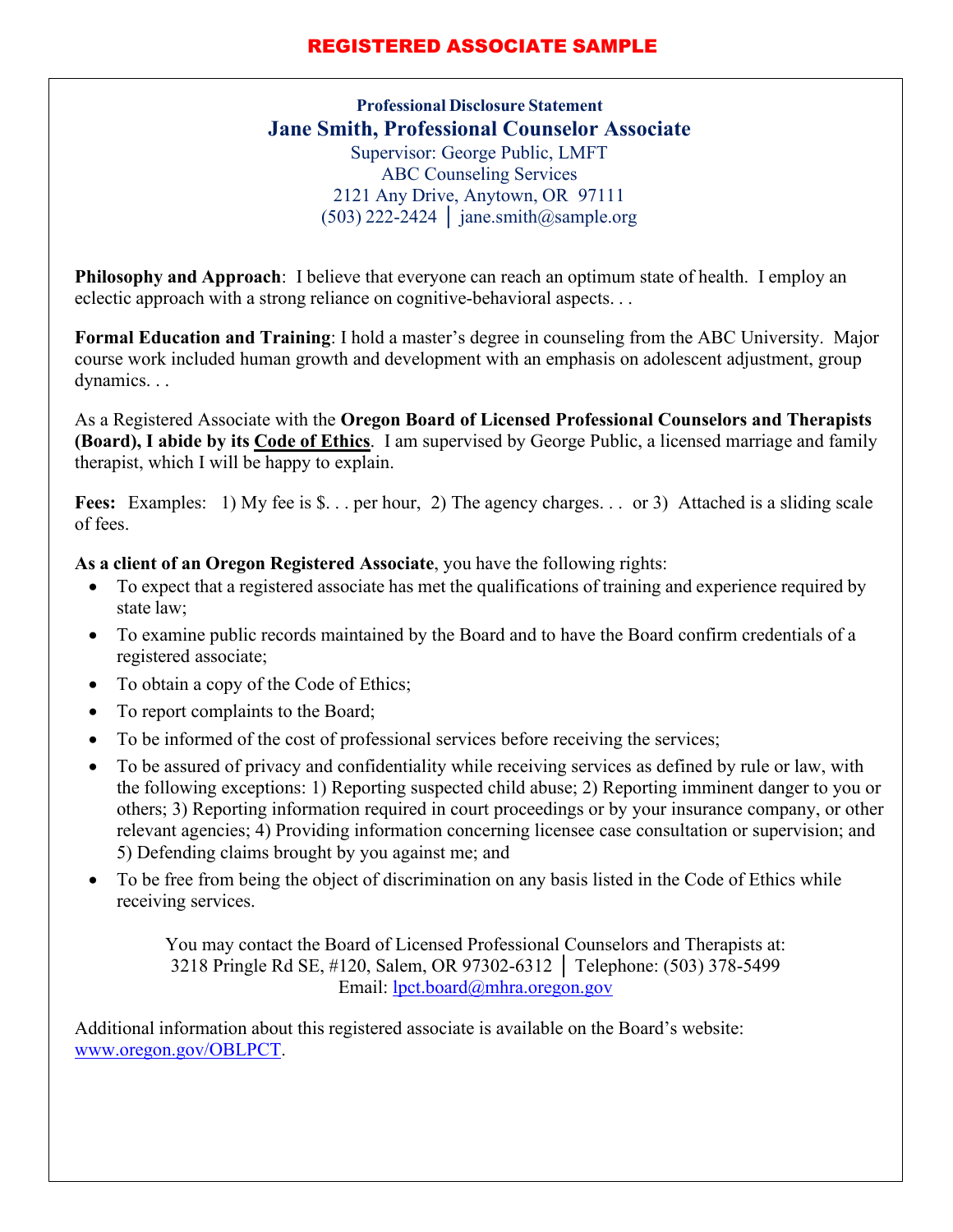## **REGISTERED ASSOCIATE SAMPI**

**Professional Disclosure Statement Jane Smith, Professional Counselor Associate** Supervisor: George Public, LMFT ABC Counseling Services 2121 Any Drive, Anytown, OR 97111  $(503)$  222-2424 | [jane.smith@sample.org](mailto:jane.smith@sample.org)

**Philosophy and Approach**: I believe that everyone can reach an optimum state of health. I employ an eclectic approach with a strong reliance on cognitive-behavioral aspects. . .

**Formal Education and Training**: I hold a master's degree in counseling from the ABC University. Major course work included human growth and development with an emphasis on adolescent adjustment, group dynamics. . .

As a Registered Associate with the **Oregon Board of Licensed Professional Counselors and Therapists (Board), I abide by its Code of Ethics**. I am supervised by George Public, a licensed marriage and family therapist, which I will be happy to explain.

Fees: Examples: 1) My fee is \$... per hour, 2) The agency charges... or 3) Attached is a sliding scale of fees.

**As a client of an Oregon Registered Associate**, you have the following rights:

- To expect that a registered associate has met the qualifications of training and experience required by state law;
- To examine public records maintained by the Board and to have the Board confirm credentials of a registered associate;
- To obtain a copy of the Code of Ethics;
- To report complaints to the Board;
- To be informed of the cost of professional services before receiving the services;
- To be assured of privacy and confidentiality while receiving services as defined by rule or law, with the following exceptions: 1) Reporting suspected child abuse; 2) Reporting imminent danger to you or others; 3) Reporting information required in court proceedings or by your insurance company, or other relevant agencies; 4) Providing information concerning licensee case consultation or supervision; and 5) Defending claims brought by you against me; and
- To be free from being the object of discrimination on any basis listed in the Code of Ethics while receiving services.

You may contact the Board of Licensed Professional Counselors and Therapists at: 3218 Pringle Rd SE, #120, Salem, OR 97302-6312 │ Telephone: (503) 378-5499 Email: [lpct.board@mhra.oregon.gov](mailto:lpct.board@mhra.oregon.gov)

Additional information about this registered associate is available on the Board's website: [www.oregon.gov/OBLPCT.](http://www.oregon.gov/OBLPCT)